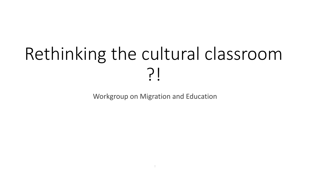# Rethinking the cultural classroom ?!

Workgroup on Migration and Education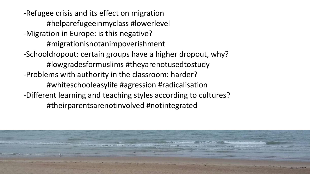-Refugee crisis and its effect on migration #helparefugeeinmyclass #lowerlevel -Migration in Europe: is this negative? #migrationisnotanimpoverishment -Schooldropout: certain groups have a higher dropout, why? #lowgradesformuslims #theyarenotusedtostudy -Problems with authority in the classroom: harder? #whiteschooleasylife #agression #radicalisation -Different learning and teaching styles according to cultures? #theirparentsarenotinvolved #notintegrated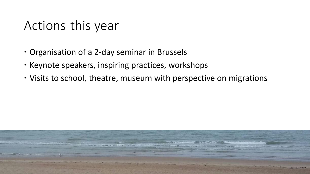## Actions this year

- Organisation of a 2-day seminar in Brussels
- Keynote speakers, inspiring practices, workshops
- Visits to school, theatre, museum with perspective on migrations

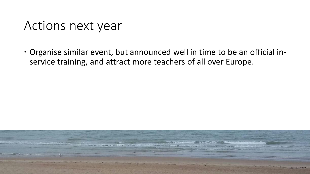#### Actions next year

 Organise similar event, but announced well in time to be an official inservice training, and attract more teachers of all over Europe.

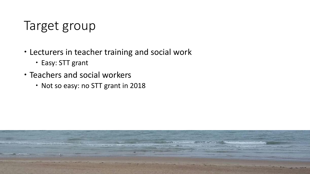## Target group

- Lecturers in teacher training and social work
	- Easy: STT grant
- Teachers and social workers
	- Not so easy: no STT grant in 2018

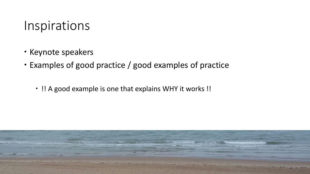#### Inspirations

- Keynote speakers
- Examples of good practice / good examples of practice
	- !! A good example is one that explains WHY it works !!

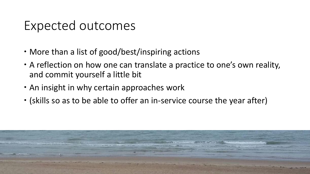#### Expected outcomes

- More than a list of good/best/inspiring actions
- A reflection on how one can translate a practice to one's own reality, and commit yourself a little bit
- An insight in why certain approaches work
- (skills so as to be able to offer an in-service course the year after)

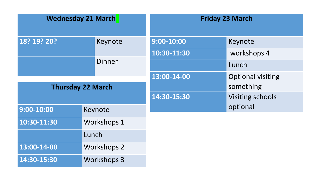| <b>Wednesday 21 March</b> |                    | <b>Friday 23 March</b> |                          |
|---------------------------|--------------------|------------------------|--------------------------|
| 18? 19? 20?               | Keynote            | $9:00 - 10:00$         | Keynote                  |
|                           |                    | 10:30-11:30            | workshops 4              |
|                           | <b>Dinner</b>      |                        | Lunch                    |
|                           |                    | 13:00-14-00            | <b>Optional visiting</b> |
| <b>Thursday 22 March</b>  |                    |                        | something                |
|                           |                    | 14:30-15:30            | <b>Visiting schools</b>  |
| $9:00 - 10:00$            | Keynote            |                        | optional                 |
| 10:30-11:30               | <b>Workshops 1</b> |                        |                          |
|                           | Lunch              |                        |                          |
| 13:00-14-00               | <b>Workshops 2</b> |                        |                          |
| 14:30-15:30               | <b>Workshops 3</b> | $\ddot{\phantom{a}}$   |                          |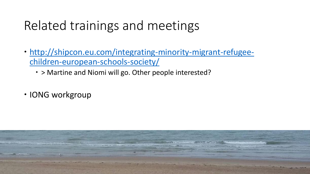# Related trainings and meetings

- [http://shipcon.eu.com/integrating-minority-migrant-refugee](http://shipcon.eu.com/integrating-minority-migrant-refugee-children-european-schools-society/)children-european-schools-society/
	- > Martine and Niomi will go. Other people interested?
- IONG workgroup